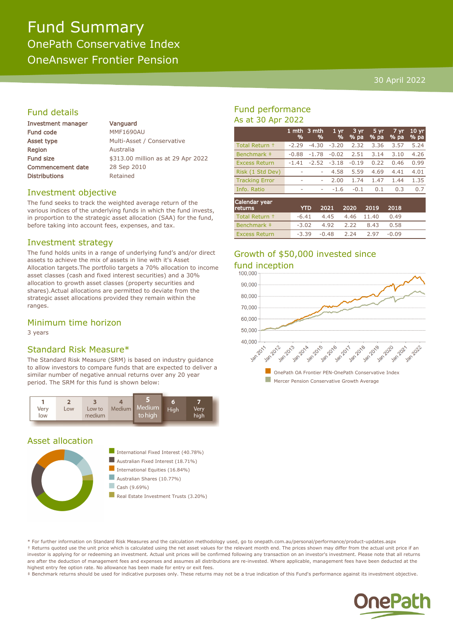# Fund Summary OnePath Conservative Index OneAnswer Frontier Pension

### 30 April 2022

# Fund details

| Investment manager       | Vanguard                           |
|--------------------------|------------------------------------|
| Fund code                | <b>MMF1690AU</b>                   |
| Asset type               | Multi-Asset / Conservative         |
| Region                   | Australia                          |
| <b>Fund size</b>         | \$313.00 million as at 29 Apr 2022 |
| <b>Commencement date</b> | 28 Sep 2010                        |
| <b>Distributions</b>     | Retained                           |
|                          |                                    |

# Investment objective

The fund seeks to track the weighted average return of the various indices of the underlying funds in which the fund invests, in proportion to the strategic asset allocation (SAA) for the fund, before taking into account fees, expenses, and tax.

# Investment strategy

The fund holds units in a range of underlying fund's and/or direct assets to achieve the mix of assets in line with it's Asset Allocation targets.The portfolio targets a 70% allocation to income asset classes (cash and fixed interest securities) and a 30% allocation to growth asset classes (property securities and shares).Actual allocations are permitted to deviate from the strategic asset allocations provided they remain within the ranges.

# Minimum time horizon

3 years

# Standard Risk Measure\*

The Standard Risk Measure (SRM) is based on industry guidance to allow investors to compare funds that are expected to deliver a similar number of negative annual returns over any 20 year period. The SRM for this fund is shown below:



#### Asset allocation



# Fund performance As at 30 Apr 2022

|                       | %       | 1 mth 3 mth<br>% | 1 <sub>yr</sub><br>% | 3 yr<br>% pa | 5 yr<br>% pa | 7 yr<br>% pa | 10 <sub>yr</sub><br>% pa |
|-----------------------|---------|------------------|----------------------|--------------|--------------|--------------|--------------------------|
| Total Return +        | $-2.29$ | $-4.30$          | $-3.20$              | 2.32         | 3.36         | 3.57         | 5.24                     |
| Benchmark ‡           | $-0.88$ | $-1.78$          | $-0.02$              | 2.51         | 3.14         | 3.10         | 4.26                     |
| <b>Excess Return</b>  | $-1.41$ | $-2.52$          | $-3.18$              | $-0.19$      | 0.22         | 0.46         | 0.99                     |
| Risk (1 Std Dev)      |         | ۰                | 4.58                 | 5.59         | 4.69         | 4.41         | 4.01                     |
| <b>Tracking Error</b> | ۰       | ۰                | 2.00                 | 1.74         | 1.47         | 1.44         | 1.35                     |
| Info. Ratio           | ۰       | ۰                | $-1.6$               | $-0.1$       | 0.1          | 0.3          | 0.7                      |
| Calendar year         |         |                  |                      |              |              |              |                          |

| Calendar year<br><b>returns</b> | <b>YTD</b> |                               | 2021 2020 2019 2018 |       |  |
|---------------------------------|------------|-------------------------------|---------------------|-------|--|
| Total Return +                  |            | $-6.41$ $4.45$ $4.46$ $11.40$ |                     | 0.49  |  |
| Benchmark #                     |            | $-3.02$ 4.92 2.22 8.43        |                     | 0.58  |  |
| <b>Excess Return</b>            |            | $-3.39$ $-0.48$ $2.24$ $2.97$ |                     | -0.09 |  |

# Growth of \$50,000 invested since



\* For further information on Standard Risk Measures and the calculation methodology used, go to onepath.com.au/personal/performance/product-updates.aspx † Returns quoted use the unit price which is calculated using the net asset values for the relevant month end. The prices shown may differ from the actual unit price if an investor is applying for or redeeming an investment. Actual unit prices will be confirmed following any transaction on an investor's investment. Please note that all returns are after the deduction of management fees and expenses and assumes all distributions are re-invested. Where applicable, management fees have been deducted at the highest entry fee option rate. No allowance has been made for entry or exit fees.

‡ Benchmark returns should be used for indicative purposes only. These returns may not be a true indication of this Fund's performance against its investment objective.